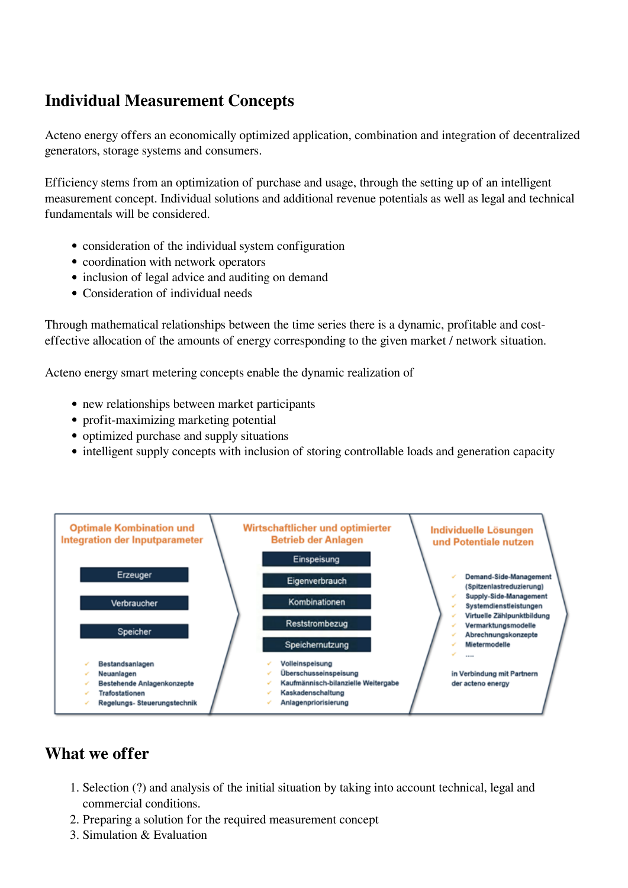## **Individual Measurement Concepts**

Acteno energy offers an economically optimized application, combination and integration of decentralized generators, storage systems and consumers.

Efficiency stems from an optimization of purchase and usage, through the setting up of an intelligent measurement concept. Individual solutions and additional revenue potentials as well as legal and technical fundamentals will be considered.

- consideration of the individual system configuration
- coordination with network operators
- inclusion of legal advice and auditing on demand
- Consideration of individual needs

Through mathematical relationships between the time series there is a dynamic, profitable and costeffective allocation of the amounts of energy corresponding to the given market / network situation.

Acteno energy smart metering concepts enable the dynamic realization of

- new relationships between market participants
- profit-maximizing marketing potential
- optimized purchase and supply situations
- intelligent supply concepts with inclusion of storing controllable loads and generation capacity



## **What we offer**

- 1. Selection (?) and analysis of the initial situation by taking into account technical, legal and commercial conditions.
- 2. Preparing a solution for the required measurement concept
- 3. Simulation & Evaluation